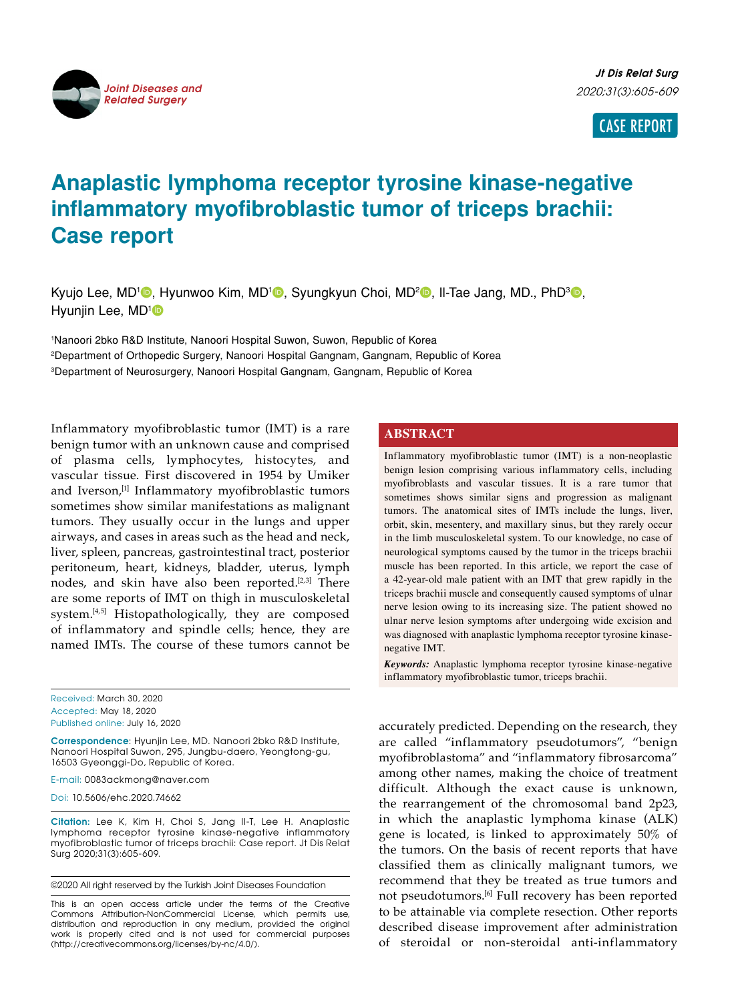

CASE REPORT

# **Anaplastic lymphoma receptor tyrosine kinase-negative inflammatory myofibroblastic tumor of triceps brachii: Case report**

Kyujo Lee, MD<sup>1</sup><sup>®</sup>, Hyunwoo Kim, MD<sup>1</sup>®, Syungkyun Choi, MD<sup>2</sup>®, Il-Tae Jang, MD., PhD<sup>3</sup>®, Hyunjin Lee, MD<sup>1</sup>

1 Nanoori 2bko R&D Institute, Nanoori Hospital Suwon, Suwon, Republic of Korea 2 Department of Orthopedic Surgery, Nanoori Hospital Gangnam, Gangnam, Republic of Korea 3 Department of Neurosurgery, Nanoori Hospital Gangnam, Gangnam, Republic of Korea

Inflammatory myofibroblastic tumor (IMT) is a rare benign tumor with an unknown cause and comprised of plasma cells, lymphocytes, histocytes, and vascular tissue. First discovered in 1954 by Umiker and Iverson,<sup>[1]</sup> Inflammatory myofibroblastic tumors sometimes show similar manifestations as malignant tumors. They usually occur in the lungs and upper airways, and cases in areas such as the head and neck, liver, spleen, pancreas, gastrointestinal tract, posterior peritoneum, heart, kidneys, bladder, uterus, lymph nodes, and skin have also been reported.<sup>[2,3]</sup> There are some reports of IMT on thigh in musculoskeletal system.[4,5] Histopathologically, they are composed of inflammatory and spindle cells; hence, they are named IMTs. The course of these tumors cannot be

Received: March 30, 2020 Accepted: May 18, 2020 Published online: July 16, 2020

**Correspondence**: Hyunjin Lee, MD. Nanoori 2bko R&D Institute, Nanoori Hospital Suwon, 295, Jungbu-daero, Yeongtong-gu, 16503 Gyeonggi-Do, Republic of Korea.

E-mail: 0083ackmong@naver.com

Doi: 10.5606/ehc.2020.74662

**Citation:** Lee K, Kim H, Choi S, Jang II-T, Lee H. Anaplastic lymphoma receptor tyrosine kinase-negative inflammatory myofibroblastic tumor of triceps brachii: Case report. Jt Dis Relat Surg 2020;31(3):605-609.

©2020 All right reserved by the Turkish Joint Diseases Foundation

This is an open access article under the terms of the Creative Commons Attribution-NonCommercial License, which permits use, distribution and reproduction in any medium, provided the original work is properly cited and is not used for commercial purposes (http://creativecommons.org/licenses/by-nc/4.0/).

### **ABSTRACT**

Inflammatory myofibroblastic tumor (IMT) is a non-neoplastic benign lesion comprising various inflammatory cells, including myofibroblasts and vascular tissues. It is a rare tumor that sometimes shows similar signs and progression as malignant tumors. The anatomical sites of IMTs include the lungs, liver, orbit, skin, mesentery, and maxillary sinus, but they rarely occur in the limb musculoskeletal system. To our knowledge, no case of neurological symptoms caused by the tumor in the triceps brachii muscle has been reported. In this article, we report the case of a 42-year-old male patient with an IMT that grew rapidly in the triceps brachii muscle and consequently caused symptoms of ulnar nerve lesion owing to its increasing size. The patient showed no ulnar nerve lesion symptoms after undergoing wide excision and was diagnosed with anaplastic lymphoma receptor tyrosine kinasenegative IMT.

*Keywords:* Anaplastic lymphoma receptor tyrosine kinase-negative inflammatory myofibroblastic tumor, triceps brachii.

accurately predicted. Depending on the research, they are called "inflammatory pseudotumors", "benign myofibroblastoma" and "inflammatory fibrosarcoma" among other names, making the choice of treatment difficult. Although the exact cause is unknown, the rearrangement of the chromosomal band 2p23, in which the anaplastic lymphoma kinase (ALK) gene is located, is linked to approximately 50% of the tumors. On the basis of recent reports that have classified them as clinically malignant tumors, we recommend that they be treated as true tumors and not pseudotumors.[6] Full recovery has been reported to be attainable via complete resection. Other reports described disease improvement after administration of steroidal or non-steroidal anti-inflammatory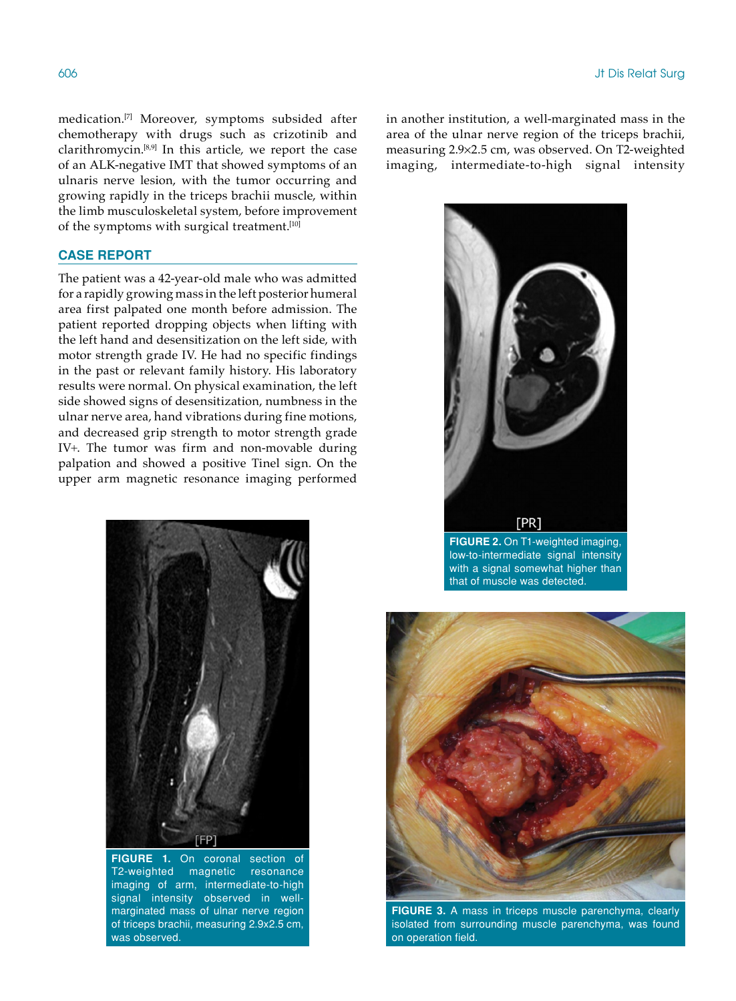medication.[7] Moreover, symptoms subsided after chemotherapy with drugs such as crizotinib and clarithromycin.[8,9] In this article, we report the case of an ALK-negative IMT that showed symptoms of an ulnaris nerve lesion, with the tumor occurring and growing rapidly in the triceps brachii muscle, within the limb musculoskeletal system, before improvement of the symptoms with surgical treatment.<sup>[10]</sup>

# **CASE REPORT**

The patient was a 42-year-old male who was admitted for a rapidly growing mass in the left posterior humeral area first palpated one month before admission. The patient reported dropping objects when lifting with the left hand and desensitization on the left side, with motor strength grade IV. He had no specific findings in the past or relevant family history. His laboratory results were normal. On physical examination, the left side showed signs of desensitization, numbness in the ulnar nerve area, hand vibrations during fine motions, and decreased grip strength to motor strength grade IV+. The tumor was firm and non-movable during palpation and showed a positive Tinel sign. On the upper arm magnetic resonance imaging performed



**FIGURE 1.** On coronal section of T2-weighted magnetic resonance imaging of arm, intermediate-to-high signal intensity observed in wellmarginated mass of ulnar nerve region of triceps brachii, measuring 2.9x2.5 cm, was observed.

in another institution, a well-marginated mass in the area of the ulnar nerve region of the triceps brachii, measuring 2.9¥2.5 cm, was observed. On T2-weighted imaging, intermediate-to-high signal intensity



low-to-intermediate signal intensity with a signal somewhat higher than that of muscle was detected.



**FIGURE 3.** A mass in triceps muscle parenchyma, clearly isolated from surrounding muscle parenchyma, was found on operation field.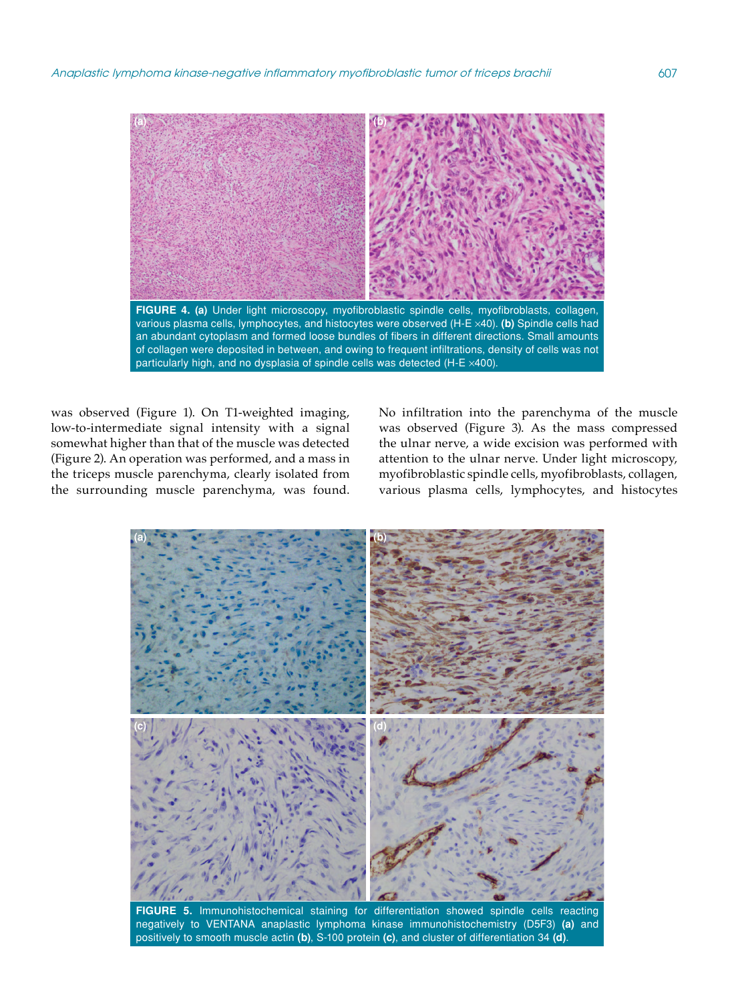

was observed (Figure 1). On T1-weighted imaging, low-to-intermediate signal intensity with a signal somewhat higher than that of the muscle was detected (Figure 2). An operation was performed, and a mass in the triceps muscle parenchyma, clearly isolated from the surrounding muscle parenchyma, was found. No infiltration into the parenchyma of the muscle was observed (Figure 3). As the mass compressed the ulnar nerve, a wide excision was performed with attention to the ulnar nerve. Under light microscopy, myofibroblastic spindle cells, myofibroblasts, collagen, various plasma cells, lymphocytes, and histocytes

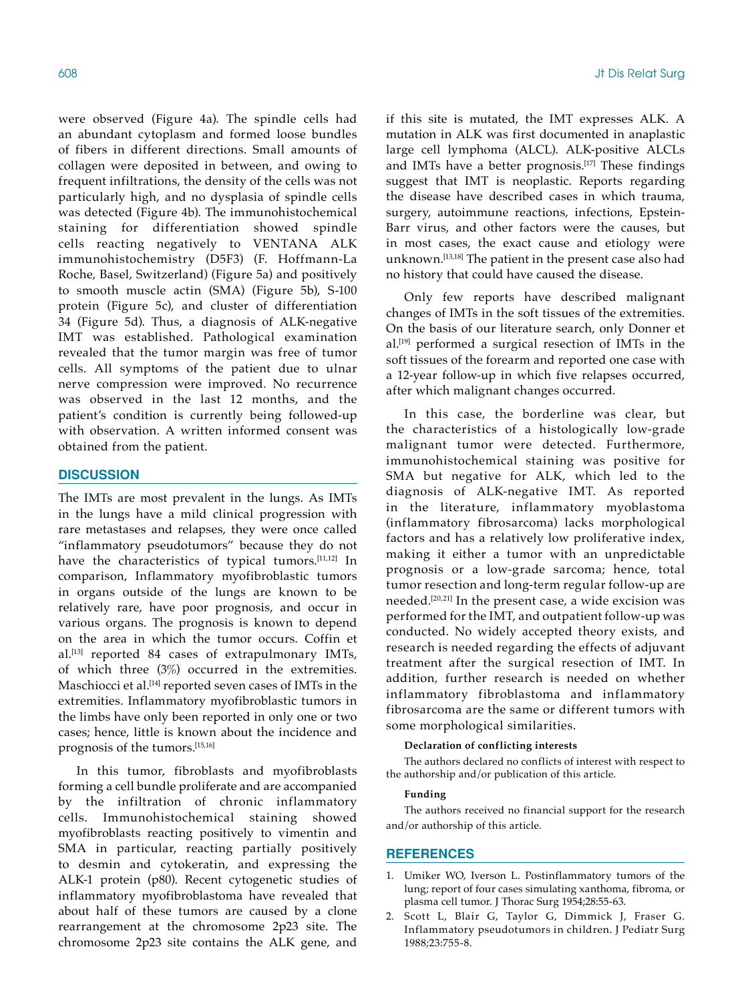were observed (Figure 4a). The spindle cells had an abundant cytoplasm and formed loose bundles of fibers in different directions. Small amounts of collagen were deposited in between, and owing to frequent infiltrations, the density of the cells was not particularly high, and no dysplasia of spindle cells was detected (Figure 4b). The immunohistochemical staining for differentiation showed spindle cells reacting negatively to VENTANA ALK immunohistochemistry (D5F3) (F. Hoffmann-La Roche, Basel, Switzerland) (Figure 5a) and positively to smooth muscle actin (SMA) (Figure 5b), S-100 protein (Figure 5c), and cluster of differentiation 34 (Figure 5d). Thus, a diagnosis of ALK-negative IMT was established. Pathological examination revealed that the tumor margin was free of tumor cells. All symptoms of the patient due to ulnar nerve compression were improved. No recurrence was observed in the last 12 months, and the patient's condition is currently being followed-up with observation. A written informed consent was obtained from the patient.

# **DISCUSSION**

The IMTs are most prevalent in the lungs. As IMTs in the lungs have a mild clinical progression with rare metastases and relapses, they were once called "inflammatory pseudotumors" because they do not have the characteristics of typical tumors.[11,12] In comparison, Inflammatory myofibroblastic tumors in organs outside of the lungs are known to be relatively rare, have poor prognosis, and occur in various organs. The prognosis is known to depend on the area in which the tumor occurs. Coffin et al.[13] reported 84 cases of extrapulmonary IMTs, of which three (3%) occurred in the extremities. Maschiocci et al.[14] reported seven cases of IMTs in the extremities. Inflammatory myofibroblastic tumors in the limbs have only been reported in only one or two cases; hence, little is known about the incidence and prognosis of the tumors.[15,16]

In this tumor, fibroblasts and myofibroblasts forming a cell bundle proliferate and are accompanied by the infiltration of chronic inflammatory cells. Immunohistochemical staining showed myofibroblasts reacting positively to vimentin and SMA in particular, reacting partially positively to desmin and cytokeratin, and expressing the ALK-1 protein (p80). Recent cytogenetic studies of inflammatory myofibroblastoma have revealed that about half of these tumors are caused by a clone rearrangement at the chromosome 2p23 site. The chromosome 2p23 site contains the ALK gene, and if this site is mutated, the IMT expresses ALK. A mutation in ALK was first documented in anaplastic large cell lymphoma (ALCL). ALK-positive ALCLs and IMTs have a better prognosis.[17] These findings suggest that IMT is neoplastic. Reports regarding the disease have described cases in which trauma, surgery, autoimmune reactions, infections, Epstein-Barr virus, and other factors were the causes, but in most cases, the exact cause and etiology were unknown.[13,18] The patient in the present case also had no history that could have caused the disease.

Only few reports have described malignant changes of IMTs in the soft tissues of the extremities. On the basis of our literature search, only Donner et al.[19] performed a surgical resection of IMTs in the soft tissues of the forearm and reported one case with a 12-year follow-up in which five relapses occurred, after which malignant changes occurred.

In this case, the borderline was clear, but the characteristics of a histologically low-grade malignant tumor were detected. Furthermore, immunohistochemical staining was positive for SMA but negative for ALK, which led to the diagnosis of ALK-negative IMT. As reported in the literature, inflammatory myoblastoma (inflammatory fibrosarcoma) lacks morphological factors and has a relatively low proliferative index, making it either a tumor with an unpredictable prognosis or a low-grade sarcoma; hence, total tumor resection and long-term regular follow-up are needed.[20,21] In the present case, a wide excision was performed for the IMT, and outpatient follow-up was conducted. No widely accepted theory exists, and research is needed regarding the effects of adjuvant treatment after the surgical resection of IMT. In addition, further research is needed on whether inflammatory fibroblastoma and inflammatory fibrosarcoma are the same or different tumors with some morphological similarities.

#### **Declaration of conflicting interests**

The authors declared no conflicts of interest with respect to the authorship and/or publication of this article.

#### **Funding**

The authors received no financial support for the research and/or authorship of this article.

#### **REFERENCES**

- 1. Umiker WO, Iverson L. Postinflammatory tumors of the lung; report of four cases simulating xanthoma, fibroma, or plasma cell tumor. J Thorac Surg 1954;28:55-63.
- 2. Scott L, Blair G, Taylor G, Dimmick J, Fraser G. Inflammatory pseudotumors in children. J Pediatr Surg 1988;23:755-8.